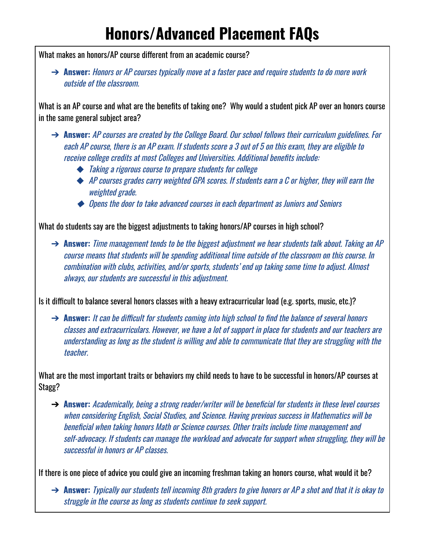## **Honors/Advanced Placement FAQs**

What makes an honors/AP course different from an academic course?

➔ **Answer:** Honors or AP courses typically move at <sup>a</sup> faster pace and require students to do more work outside of the classroom.

What is an AP course and what are the benefits of taking one? Why would a student pick AP over an honors course in the same general subject area?

- ➔ **Answer:** AP courses are created by the College Board. Our school follows their curriculum guidelines. For each AP course, there is an AP exam. If students score <sup>a</sup> 3 out of 5 on this exam, they are eligible to receive college credits at most Colleges and Universities. Additional benefits include:
	- ◆ Taking a rigorous course to prepare students for college
	- ◆ AP courses grades carry weighted GPA scores. If students earn a C or higher, they will earn the weighted grade.
	- ◆ Opens the door to take advanced courses in each department as Juniors and Seniors

What do students say are the biggest adjustments to taking honors/AP courses in high school?

➔ **Answer:** Time management tends to be the biggest adjustment we hear students talk about. Taking an AP course means that students will be spending additional time outside of the classroom on this course. In combination with clubs, activities, and/or sports, students' end up taking some time to adjust. Almost always, our students are successful in this adjustment.

Is it difficult to balance several honors classes with a heavy extracurricular load (e.g. sports, music, etc.)?

→ **Answer:** It can be difficult for students coming into high school to find the balance of several honors classes and extracurriculars. However, we have <sup>a</sup> lot of support in place for students and our teachers are understanding as long as the student is willing and able to communicate that they are struggling with the teacher.

What are the most important traits or behaviors my child needs to have to be successful in honors/AP courses at Stagg?

➔ **Answer:** Academically, being <sup>a</sup> strong reader/writer will be beneficial for students in these level courses when considering English, Social Studies, and Science. Having previous success in Mathematics will be beneficial when taking honors Math or Science courses. Other traits include time management and self-advocacy. If students can manage the workload and advocate for support when struggling, they will be successful in honors or AP classes.

If there is one piece of advice you could give an incoming freshman taking an honors course, what would it be?

➔ **Answer:** Typically our students tell incoming 8th graders to give honors or AP <sup>a</sup> shot and that it is okay to struggle in the course as long as students continue to seek support.